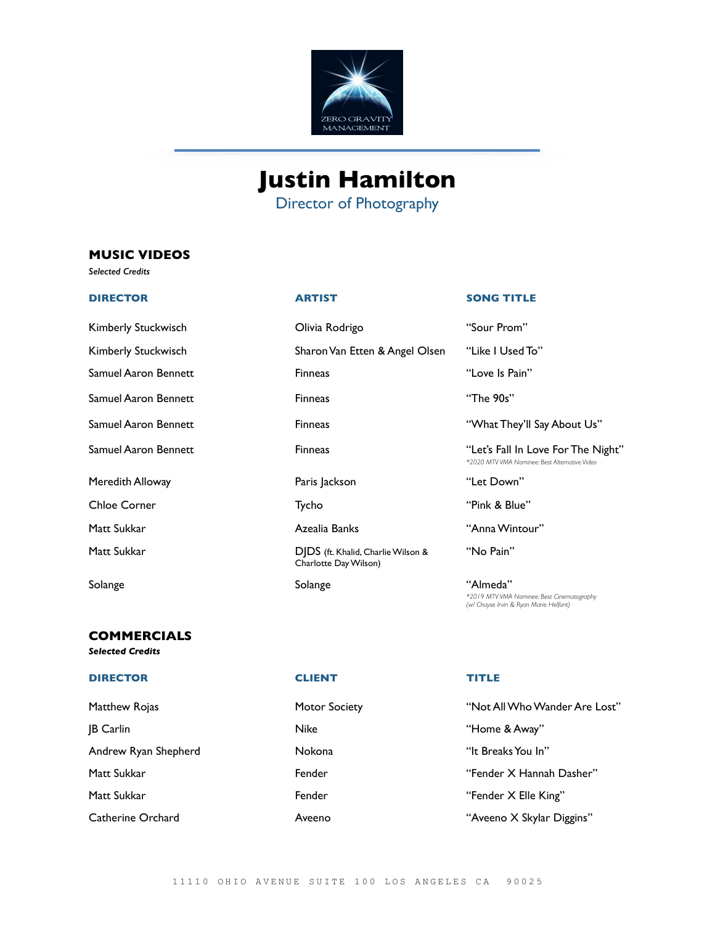

# **Justin Hamilton**

Director of Photography

# **MUSIC VIDEOS**

*Selected Credits*

Kimberly Stuckwisch Olivia Rodrigo "Sour Prom" Kimberly Stuckwisch Sharon Van Etten & Angel Olsen "Like I Used To" Samuel Aaron Bennett **Finneas** Finneas **Finneas** "Love Is Pain" Samuel Aaron Bennett Finneas "The 90s" Meredith Alloway **Paris Jackson** Paris Jackson **1988** Chloe Corner Tycho "Pink & Blue" Matt Sukkar Azealia Banks "Anna Wintour" Matt Sukkar **DJDS** (ft. Khalid, Charlie Wilson &

# **COMMERCIALS**

## *Selected Credits*

### **DIRECTOR CLIENT TITLE**

**JB Carlin** Nike Nike **Constructs Away**" **Home & Away**" Andrew Ryan Shepherd **Nokona** Nokona "It Breaks You In" Matt Sukkar Fender "Fender X Elle King"

Charlotte Day Wilson)

| Motor Socie |
|-------------|
| Nike        |
| Nokona      |
| Fender      |
| Fender      |
| Aveeno      |

### **DIRECTOR ARTIST SONG TITLE**

Samuel Aaron Bennett Finneas "What They'll Say About Us" Samuel Aaron Bennett **Finneas** Finneas "Let's Fall In Love For The Night" *\*2020 MTV VMA Nominee: Best Alternative Video* "No Pain" Solange "Almeda" Solange "Almeda" *\*2019 MTV VMA Nominee: Best Cinematography (w/ Chayse Irvin & Ryan Marie Helfant)*

Matthew Rojas **Motor Society** Motor Society **Matthew Rojas** "Not All Who Wander Are Lost" Matt Sukkar Fender "Fender X Hannah Dasher" Catherine Orchard Aveeno "Aveeno X Skylar Diggins"